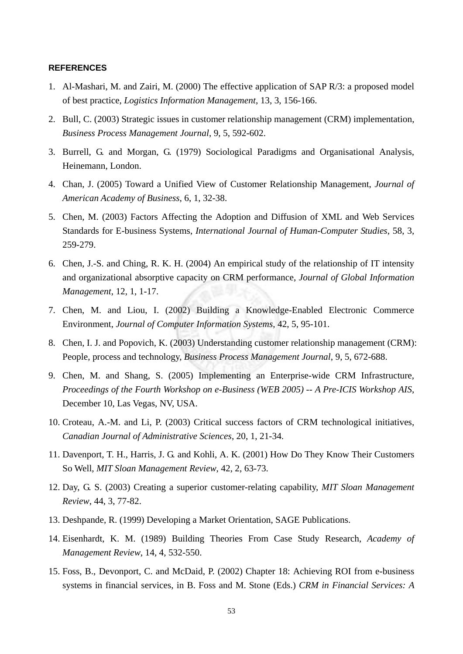## **REFERENCES**

- 1. Al-Mashari, M. and Zairi, M. (2000) The effective application of SAP R/3: a proposed model of best practice, *Logistics Information Management*, 13, 3, 156-166.
- 2. Bull, C. (2003) Strategic issues in customer relationship management (CRM) implementation, *Business Process Management Journal*, 9, 5, 592-602.
- 3. Burrell, G. and Morgan, G. (1979) Sociological Paradigms and Organisational Analysis, Heinemann, London.
- 4. Chan, J. (2005) Toward a Unified View of Customer Relationship Management, *Journal of American Academy of Business*, 6, 1, 32-38.
- 5. Chen, M. (2003) Factors Affecting the Adoption and Diffusion of XML and Web Services Standards for E-business Systems, *International Journal of Human-Computer Studies*, 58, 3, 259-279.
- 6. Chen, J.-S. and Ching, R. K. H. (2004) An empirical study of the relationship of IT intensity and organizational absorptive capacity on CRM performance, *Journal of Global Information Management*, 12, 1, 1-17.
- 7. Chen, M. and Liou, I. (2002) Building a Knowledge-Enabled Electronic Commerce Environment, *Journal of Computer Information Systems*, 42, 5, 95-101.
- 8. Chen, I. J. and Popovich, K. (2003) Understanding customer relationship management (CRM): People, process and technology, *Business Process Management Journal*, 9, 5, 672-688.
- 9. Chen, M. and Shang, S. (2005) Implementing an Enterprise-wide CRM Infrastructure, *Proceedings of the Fourth Workshop on e-Business (WEB 2005) -- A Pre-ICIS Workshop AIS*, December 10, Las Vegas, NV, USA.
- 10. Croteau, A.-M. and Li, P. (2003) Critical success factors of CRM technological initiatives, *Canadian Journal of Administrative Sciences*, 20, 1, 21-34.
- 11. Davenport, T. H., Harris, J. G. and Kohli, A. K. (2001) How Do They Know Their Customers So Well, *MIT Sloan Management Review*, 42, 2, 63-73.
- 12. Day, G. S. (2003) Creating a superior customer-relating capability, *MIT Sloan Management Review*, 44, 3, 77-82.
- 13. Deshpande, R. (1999) Developing a Market Orientation, SAGE Publications.
- 14. Eisenhardt, K. M. (1989) Building Theories From Case Study Research, *Academy of Management Review*, 14, 4, 532-550.
- 15. Foss, B., Devonport, C. and McDaid, P. (2002) Chapter 18: Achieving ROI from e-business systems in financial services, in B. Foss and M. Stone (Eds.) *CRM in Financial Services: A*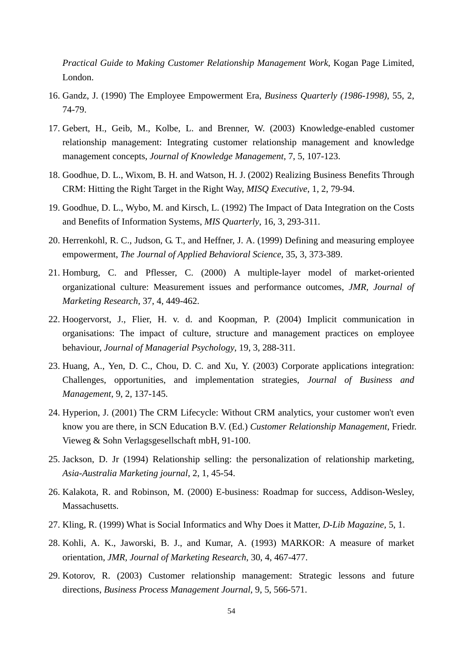*Practical Guide to Making Customer Relationship Management Work*, Kogan Page Limited, London.

- 16. Gandz, J. (1990) The Employee Empowerment Era, *Business Quarterly (1986-1998)*, 55, 2, 74-79.
- 17. Gebert, H., Geib, M., Kolbe, L. and Brenner, W. (2003) Knowledge-enabled customer relationship management: Integrating customer relationship management and knowledge management concepts, *Journal of Knowledge Management*, 7, 5, 107-123.
- 18. Goodhue, D. L., Wixom, B. H. and Watson, H. J. (2002) Realizing Business Benefits Through CRM: Hitting the Right Target in the Right Way, *MISQ Executive*, 1, 2, 79-94.
- 19. Goodhue, D. L., Wybo, M. and Kirsch, L. (1992) The Impact of Data Integration on the Costs and Benefits of Information Systems, *MIS Quarterly*, 16, 3, 293-311.
- 20. Herrenkohl, R. C., Judson, G. T., and Heffner, J. A. (1999) Defining and measuring employee empowerment, *The Journal of Applied Behavioral Science*, 35, 3, 373-389.
- 21. Homburg, C. and Pflesser, C. (2000) A multiple-layer model of market-oriented organizational culture: Measurement issues and performance outcomes, *JMR, Journal of Marketing Research*, 37, 4, 449-462.
- 22. Hoogervorst, J., Flier, H. v. d. and Koopman, P. (2004) Implicit communication in organisations: The impact of culture, structure and management practices on employee behaviour, *Journal of Managerial Psychology*, 19, 3, 288-311.
- 23. Huang, A., Yen, D. C., Chou, D. C. and Xu, Y. (2003) Corporate applications integration: Challenges, opportunities, and implementation strategies, *Journal of Business and Management*, 9, 2, 137-145.
- 24. Hyperion, J. (2001) The CRM Lifecycle: Without CRM analytics, your customer won't even know you are there, in SCN Education B.V. (Ed.) *Customer Relationship Management*, Friedr. Vieweg & Sohn Verlagsgesellschaft mbH, 91-100.
- 25. Jackson, D. Jr (1994) Relationship selling: the personalization of relationship marketing, *Asia-Australia Marketing journal*, 2, 1, 45-54.
- 26. Kalakota, R. and Robinson, M. (2000) E-business: Roadmap for success, Addison-Wesley, Massachusetts.
- 27. Kling, R. (1999) What is Social Informatics and Why Does it Matter, *D-Lib Magazine,* 5, 1.
- 28. Kohli, A. K., Jaworski, B. J., and Kumar, A. (1993) MARKOR: A measure of market orientation, *JMR, Journal of Marketing Research*, 30, 4, 467-477.
- 29. Kotorov, R. (2003) Customer relationship management: Strategic lessons and future directions, *Business Process Management Journal*, 9, 5, 566-571.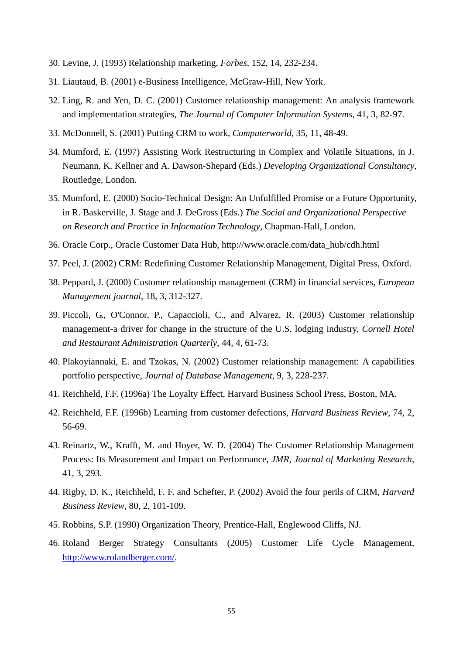- 30. Levine, J. (1993) Relationship marketing, *Forbes*, 152, 14, 232-234.
- 31. Liautaud, B. (2001) e-Business Intelligence, McGraw-Hill, New York.
- 32. Ling, R. and Yen, D. C. (2001) Customer relationship management: An analysis framework and implementation strategies, *The Journal of Computer Information Systems*, 41, 3, 82-97.
- 33. McDonnell, S. (2001) Putting CRM to work, *Computerworld*, 35, 11, 48-49.
- 34. Mumford, E. (1997) Assisting Work Restructuring in Complex and Volatile Situations, in J. Neumann, K. Kellner and A. Dawson-Shepard (Eds.) *Developing Organizational Consultancy*, Routledge, London.
- 35. Mumford, E. (2000) Socio-Technical Design: An Unfulfilled Promise or a Future Opportunity, in R. Baskerville, J. Stage and J. DeGross (Eds.) *The Social and Organizational Perspective on Research and Practice in Information Technology*, Chapman-Hall, London.
- 36. Oracle Corp., Oracle Customer Data Hub, http://www.oracle.com/data\_hub/cdh.html
- 37. Peel, J. (2002) CRM: Redefining Customer Relationship Management, Digital Press, Oxford.
- 38. Peppard, J. (2000) Customer relationship management (CRM) in financial services, *European Management journal*, 18, 3, 312-327.
- 39. Piccoli, G., O'Connor, P., Capaccioli, C., and Alvarez, R. (2003) Customer relationship management-a driver for change in the structure of the U.S. lodging industry, *Cornell Hotel and Restaurant Administration Quarterly*, 44, 4, 61-73.
- 40. Plakoyiannaki, E. and Tzokas, N. (2002) Customer relationship management: A capabilities portfolio perspective, *Journal of Database Management*, 9, 3, 228-237.
- 41. Reichheld, F.F. (1996a) The Loyalty Effect, Harvard Business School Press, Boston, MA.
- 42. Reichheld, F.F. (1996b) Learning from customer defections, *Harvard Business Review*, 74, 2, 56-69.
- 43. Reinartz, W., Krafft, M. and Hoyer, W. D. (2004) The Customer Relationship Management Process: Its Measurement and Impact on Performance, *JMR, Journal of Marketing Research*, 41, 3, 293.
- 44. Rigby, D. K., Reichheld, F. F. and Schefter, P. (2002) Avoid the four perils of CRM, *Harvard Business Review*, 80, 2, 101-109.
- 45. Robbins, S.P. (1990) Organization Theory, Prentice-Hall, Englewood Cliffs, NJ.
- 46. Roland Berger Strategy Consultants (2005) Customer Life Cycle Management, http://www.rolandberger.com/.